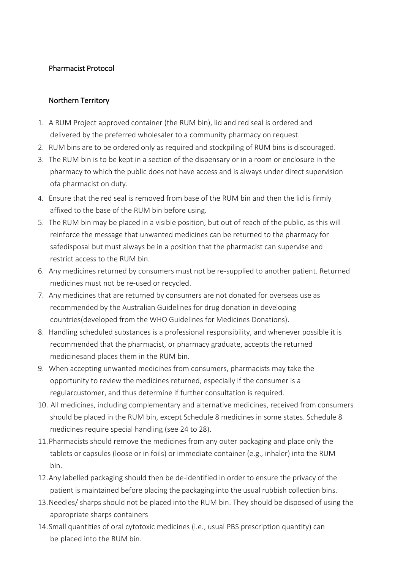## Pharmacist Protocol

## Northern Territory

- 1. A RUM Project approved container (the RUM bin), lid and red seal is ordered and delivered by the preferred wholesaler to a community pharmacy on request.
- 2. RUM bins are to be ordered only as required and stockpiling of RUM bins is discouraged.
- 3. The RUM bin is to be kept in a section of the dispensary or in a room or enclosure in the pharmacy to which the public does not have access and is always under direct supervision of a pharmacist on duty.
- 4. Ensure that the red seal is removed from base of the RUM bin and then the lid is firmly affixed to the base of the RUM bin before using.
- 5. The RUM bin may be placed in a visible position, but out of reach of the public, as this will reinforce the message that unwanted medicines can be returned to the pharmacy for safedisposal but must always be in a position that the pharmacist can supervise and restrict access to the RUM bin.
- 6. Any medicines returned by consumers must not be re-supplied to another patient. Returned medicines must not be re-used or recycled.
- 7. Any medicines that are returned by consumers are not donated for overseas use as recommended by the Australian Guidelines for drug donation in developing countries(developed from the WHO Guidelines for Medicines Donations).
- 8. Handling scheduled substances is a professional responsibility, and whenever possible it is recommended that the pharmacist, or pharmacy graduate, accepts the returned medicinesand places them in the RUM bin.
- 9. When accepting unwanted medicines from consumers, pharmacists may take the opportunity to review the medicines returned, especially if the consumer is a regularcustomer, and thus determine if further consultation is required.
- 10. All medicines, including complementary and alternative medicines, received from consumers should be placed in the RUM bin, except Schedule 8 medicines in some states. Schedule 8 medicines require special handling (see 24 to 28).
- 11.Pharmacists should remove the medicines from any outer packaging and place only the tablets or capsules (loose or in foils) or immediate container (e.g., inhaler) into the RUM bin.
- 12.Any labelled packaging should then be de-identified in order to ensure the privacy of the patient is maintained before placing the packaging into the usual rubbish collection bins.
- 13.Needles/ sharps should not be placed into the RUM bin. They should be disposed of using the appropriate sharps containers
- 14.Small quantities of oral cytotoxic medicines (i.e., usual PBS prescription quantity) can be placed into the RUM bin.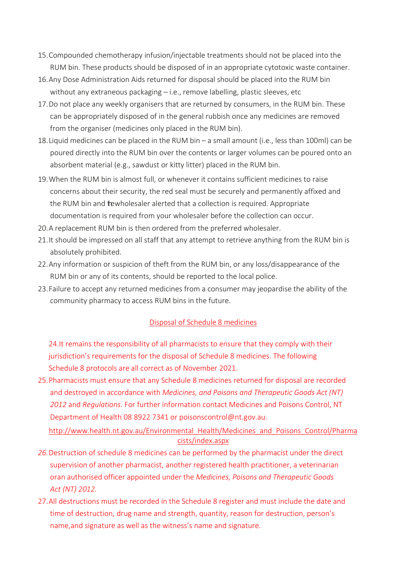- 15.Compounded chemotherapy infusion/injectable treatments should not be placed into the RUM bin. These products should be disposed of in an appropriate cytotoxic waste container.
- 16.Any Dose Administration Aids returned for disposal should be placed into the RUM bin without any extraneous packaging – i.e., remove labelling, plastic sleeves, etc
- 17.Do not place any weekly organisers that are returned by consumers, in the RUM bin. These can be appropriately disposed of in the general rubbish once any medicines are removed from the organiser (medicines only placed in the RUM bin).
- 18.Liquid medicines can be placed in the RUM bin a small amount (i.e., less than 100ml) can be poured directly into the RUM bin over the contents or larger volumes can be poured onto an absorbent material (e.g., sawdust or kitty litter) placed in the RUM bin.
- 19.When the RUM bin is almost full, or whenever it contains sufficient medicines to raise concerns about their security, the red seal must be securely and permanently affixed and the RUM bin and thewholesaler alerted that a collection is required. Appropriate documentation is required from your wholesaler before the collection can occur.
- 20.A replacement RUM bin is then ordered from the preferred wholesaler.
- 21.It should be impressed on all staff that any attempt to retrieve anything from the RUM bin is absolutely prohibited.
- 22.Any information or suspicion of theft from the RUM bin, or any loss/disappearance of the RUM bin or any of its contents, should be reported to the local police.
- 23.Failure to accept any returned medicines from a consumer may jeopardise the ability of the community pharmacy to access RUM bins in the future.

## Disposal of Schedule 8 medicines

24.It remains the responsibility of all pharmacists to ensure that they comply with their jurisdiction's requirements for the disposal of Schedule 8 medicines. The following Schedule 8 protocols are all correct as of November 2021.

25.Pharmacists must ensure that any Schedule 8 medicines returned for disposal are recorded and destroyed in accordance with *Medicines, and Poisons and Therapeutic Goods Act (NT) 2012* and *Regulations*. For further information contact Medicines and Poisons Control, NT Department of Health 08 8922 7341 or [poisonscontrol@nt.gov.au.](mailto:poisonscontrol@nt.gov.au)

[http://www.health.nt.gov.au/Environmental\\_Health/Medicines\\_and\\_Poisons\\_Control/Pharma](http://www.health.nt.gov.au/Environmental_Health/Medicines_and_Poisons_Control/Pharmacists/index.aspx) [cists/index.aspx](http://www.health.nt.gov.au/Environmental_Health/Medicines_and_Poisons_Control/Pharmacists/index.aspx)

- *26.*Destruction of schedule 8 medicines can be performed by the pharmacist under the direct supervision of another pharmacist, another registered health practitioner, a veterinarian oran authorised officer appointed under the *Medicines, Poisons and Therapeutic Goods Act (NT) 2012.*
- 27.All destructions must be recorded in the Schedule 8 register and must include the date and time of destruction, drug name and strength, quantity, reason for destruction, person's name, and signature as well as the witness's name and signature.